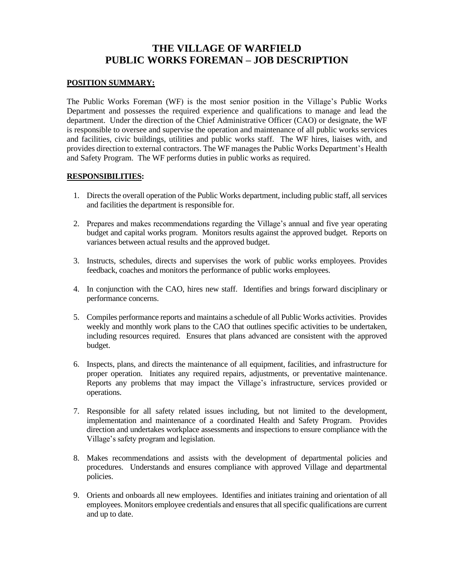# **THE VILLAGE OF WARFIELD PUBLIC WORKS FOREMAN – JOB DESCRIPTION**

#### **POSITION SUMMARY:**

The Public Works Foreman (WF) is the most senior position in the Village's Public Works Department and possesses the required experience and qualifications to manage and lead the department. Under the direction of the Chief Administrative Officer (CAO) or designate, the WF is responsible to oversee and supervise the operation and maintenance of all public works services and facilities, civic buildings, utilities and public works staff. The WF hires, liaises with, and provides direction to external contractors. The WF manages the Public Works Department's Health and Safety Program. The WF performs duties in public works as required.

#### **RESPONSIBILITIES:**

- 1. Directs the overall operation of the Public Works department, including public staff, all services and facilities the department is responsible for.
- 2. Prepares and makes recommendations regarding the Village's annual and five year operating budget and capital works program. Monitors results against the approved budget. Reports on variances between actual results and the approved budget.
- 3. Instructs, schedules, directs and supervises the work of public works employees. Provides feedback, coaches and monitors the performance of public works employees.
- 4. In conjunction with the CAO, hires new staff. Identifies and brings forward disciplinary or performance concerns.
- 5. Compiles performance reports and maintains a schedule of all Public Works activities. Provides weekly and monthly work plans to the CAO that outlines specific activities to be undertaken, including resources required. Ensures that plans advanced are consistent with the approved budget.
- 6. Inspects, plans, and directs the maintenance of all equipment, facilities, and infrastructure for proper operation. Initiates any required repairs, adjustments, or preventative maintenance. Reports any problems that may impact the Village's infrastructure, services provided or operations.
- 7. Responsible for all safety related issues including, but not limited to the development, implementation and maintenance of a coordinated Health and Safety Program. Provides direction and undertakes workplace assessments and inspections to ensure compliance with the Village's safety program and legislation.
- 8. Makes recommendations and assists with the development of departmental policies and procedures. Understands and ensures compliance with approved Village and departmental policies.
- 9. Orients and onboards all new employees. Identifies and initiates training and orientation of all employees. Monitors employee credentials and ensures that all specific qualifications are current and up to date.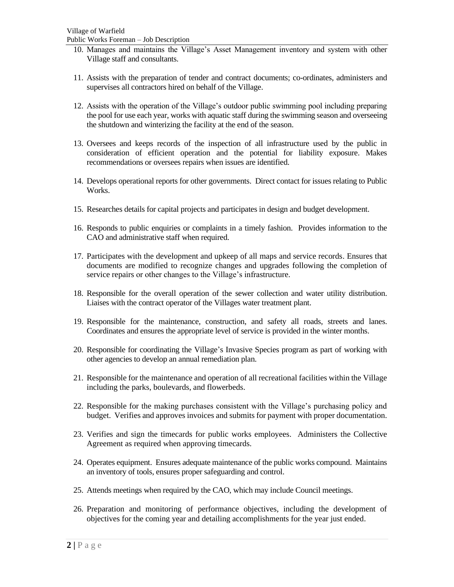Public Works Foreman – Job Description

- 10. Manages and maintains the Village's Asset Management inventory and system with other Village staff and consultants.
- 11. Assists with the preparation of tender and contract documents; co-ordinates, administers and supervises all contractors hired on behalf of the Village.
- 12. Assists with the operation of the Village's outdoor public swimming pool including preparing the pool for use each year, works with aquatic staff during the swimming season and overseeing the shutdown and winterizing the facility at the end of the season.
- 13. Oversees and keeps records of the inspection of all infrastructure used by the public in consideration of efficient operation and the potential for liability exposure. Makes recommendations or oversees repairs when issues are identified.
- 14. Develops operational reports for other governments. Direct contact for issues relating to Public Works.
- 15. Researches details for capital projects and participates in design and budget development.
- 16. Responds to public enquiries or complaints in a timely fashion. Provides information to the CAO and administrative staff when required.
- 17. Participates with the development and upkeep of all maps and service records. Ensures that documents are modified to recognize changes and upgrades following the completion of service repairs or other changes to the Village's infrastructure.
- 18. Responsible for the overall operation of the sewer collection and water utility distribution. Liaises with the contract operator of the Villages water treatment plant.
- 19. Responsible for the maintenance, construction, and safety all roads, streets and lanes. Coordinates and ensures the appropriate level of service is provided in the winter months.
- 20. Responsible for coordinating the Village's Invasive Species program as part of working with other agencies to develop an annual remediation plan.
- 21. Responsible for the maintenance and operation of all recreational facilities within the Village including the parks, boulevards, and flowerbeds.
- 22. Responsible for the making purchases consistent with the Village's purchasing policy and budget. Verifies and approves invoices and submits for payment with proper documentation.
- 23. Verifies and sign the timecards for public works employees. Administers the Collective Agreement as required when approving timecards.
- 24. Operates equipment. Ensures adequate maintenance of the public works compound. Maintains an inventory of tools, ensures proper safeguarding and control.
- 25. Attends meetings when required by the CAO, which may include Council meetings.
- 26. Preparation and monitoring of performance objectives, including the development of objectives for the coming year and detailing accomplishments for the year just ended.